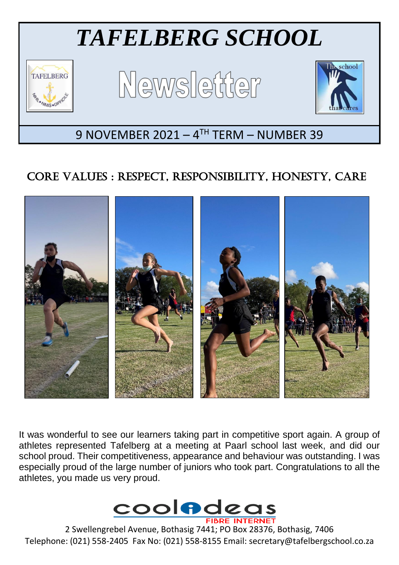

# CORE VALUES : RESPECT, RESPONSIBILITY, HONESTY, CARE



It was wonderful to see our learners taking part in competitive sport again. A group of athletes represented Tafelberg at a meeting at Paarl school last week, and did our school proud. Their competitiveness, appearance and behaviour was outstanding. I was especially proud of the large number of juniors who took part. Congratulations to all the athletes, you made us very proud.



2 Swellengrebel Avenue, Bothasig 7441; PO Box 28376, Bothasig, 7406 Telephone: (021) 558-2405 Fax No: (021) 558-8155 Email: secretary@tafelbergschool.co.za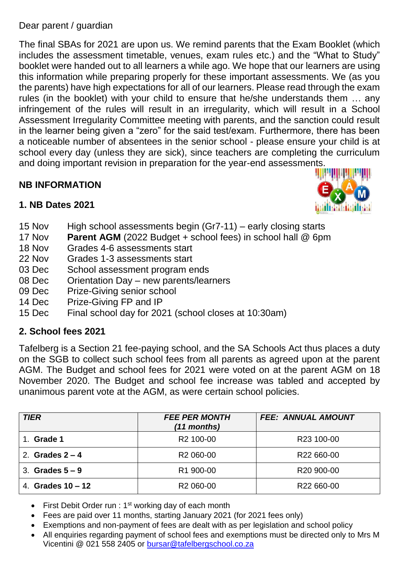## Dear parent / guardian

The final SBAs for 2021 are upon us. We remind parents that the Exam Booklet (which includes the assessment timetable, venues, exam rules etc.) and the "What to Study" booklet were handed out to all learners a while ago. We hope that our learners are using this information while preparing properly for these important assessments. We (as you the parents) have high expectations for all of our learners. Please read through the exam rules (in the booklet) with your child to ensure that he/she understands them … any infringement of the rules will result in an irregularity, which will result in a School Assessment Irregularity Committee meeting with parents, and the sanction could result in the learner being given a "zero" for the said test/exam. Furthermore, there has been a noticeable number of absentees in the senior school - please ensure your child is at school every day (unless they are sick), since teachers are completing the curriculum and doing important revision in preparation for the year-end assessments.

## **NB INFORMATION**



## **1. NB Dates 2021**

- 15 Nov High school assessments begin (Gr7-11) early closing starts
- 17 Nov **Parent AGM** (2022 Budget + school fees) in school hall @ 6pm
- 18 Nov Grades 4-6 assessments start
- 22 Nov Grades 1-3 assessments start
- 03 Dec School assessment program ends
- 08 Dec Orientation Day new parents/learners
- 09 Dec Prize-Giving senior school
- 14 Dec Prize-Giving FP and IP
- 15 Dec Final school day for 2021 (school closes at 10:30am)

## **2. School fees 2021**

Tafelberg is a Section 21 fee-paying school, and the SA Schools Act thus places a duty on the SGB to collect such school fees from all parents as agreed upon at the parent AGM. The Budget and school fees for 2021 were voted on at the parent AGM on 18 November 2020. The Budget and school fee increase was tabled and accepted by unanimous parent vote at the AGM, as were certain school policies.

| <b>TIER</b>         | <b>FEE PER MONTH</b><br>(11 months) | <b>FEE: ANNUAL AMOUNT</b> |
|---------------------|-------------------------------------|---------------------------|
| Grade 1             | R <sub>2</sub> 100-00               | R <sub>23</sub> 100-00    |
| 2. Grades $2 - 4$   | R <sub>2</sub> 060-00               | R22 660-00                |
| 3. Grades $5-9$     | R1 900-00                           | R <sub>20</sub> 900-00    |
| 4. Grades $10 - 12$ | R <sub>2</sub> 060-00               | R <sub>22</sub> 660-00    |

- First Debit Order run :  $1<sup>st</sup>$  working day of each month
- Fees are paid over 11 months, starting January 2021 (for 2021 fees only)
- Exemptions and non-payment of fees are dealt with as per legislation and school policy
- All enquiries regarding payment of school fees and exemptions must be directed only to Mrs M Vicentini @ 021 558 2405 or [bursar@tafelbergschool.co.za](mailto:bursar@tafelbergschool.co.za)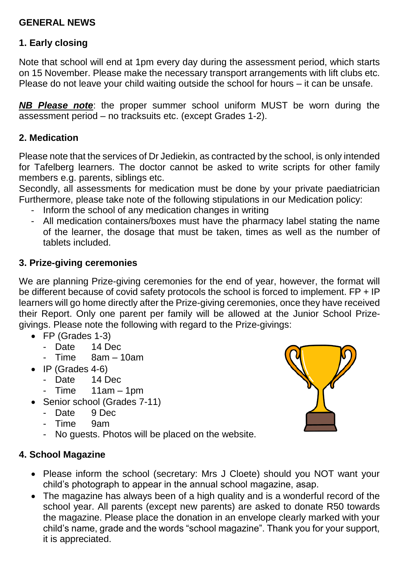## **GENERAL NEWS**

## **1. Early closing**

Note that school will end at 1pm every day during the assessment period, which starts on 15 November. Please make the necessary transport arrangements with lift clubs etc. Please do not leave your child waiting outside the school for hours – it can be unsafe.

*NB Please note*: the proper summer school uniform MUST be worn during the assessment period – no tracksuits etc. (except Grades 1-2).

#### **2. Medication**

Please note that the services of Dr Jediekin, as contracted by the school, is only intended for Tafelberg learners. The doctor cannot be asked to write scripts for other family members e.g. parents, siblings etc.

Secondly, all assessments for medication must be done by your private paediatrician Furthermore, please take note of the following stipulations in our Medication policy:

- Inform the school of any medication changes in writing
- All medication containers/boxes must have the pharmacy label stating the name of the learner, the dosage that must be taken, times as well as the number of tablets included.

#### **3. Prize-giving ceremonies**

We are planning Prize-giving ceremonies for the end of year, however, the format will be different because of covid safety protocols the school is forced to implement. FP + IP learners will go home directly after the Prize-giving ceremonies, once they have received their Report. Only one parent per family will be allowed at the Junior School Prizegivings. Please note the following with regard to the Prize-givings:

- FP (Grades 1-3)
	- Date 14 Dec
	- Time 8am 10am
- $\bullet$  IP (Grades 4-6)
	- Date 14 Dec
	- Time 11am 1pm
- Senior school (Grades 7-11)
	- Date 9 Dec
	- Time 9am
	- No guests. Photos will be placed on the website.

## **4. School Magazine**

- Please inform the school (secretary: Mrs J Cloete) should you NOT want your child's photograph to appear in the annual school magazine, asap.
- The magazine has always been of a high quality and is a wonderful record of the school year. All parents (except new parents) are asked to donate R50 towards the magazine. Please place the donation in an envelope clearly marked with your child's name, grade and the words "school magazine". Thank you for your support, it is appreciated.

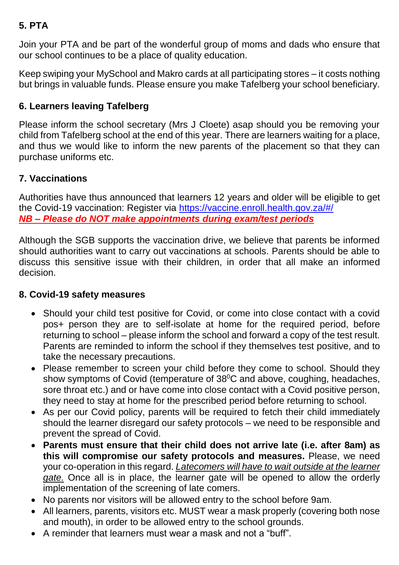# **5. PTA**

Join your PTA and be part of the wonderful group of moms and dads who ensure that our school continues to be a place of quality education.

Keep swiping your MySchool and Makro cards at all participating stores – it costs nothing but brings in valuable funds. Please ensure you make Tafelberg your school beneficiary.

## **6. Learners leaving Tafelberg**

Please inform the school secretary (Mrs J Cloete) asap should you be removing your child from Tafelberg school at the end of this year. There are learners waiting for a place, and thus we would like to inform the new parents of the placement so that they can purchase uniforms etc.

## **7. Vaccinations**

Authorities have thus announced that learners 12 years and older will be eligible to get the Covid-19 vaccination: Register via <https://vaccine.enroll.health.gov.za/#/> *NB – Please do NOT make appointments during exam/test periods*

Although the SGB supports the vaccination drive, we believe that parents be informed should authorities want to carry out vaccinations at schools. Parents should be able to discuss this sensitive issue with their children, in order that all make an informed decision.

#### **8. Covid-19 safety measures**

- Should your child test positive for Covid, or come into close contact with a covid pos+ person they are to self-isolate at home for the required period, before returning to school – please inform the school and forward a copy of the test result. Parents are reminded to inform the school if they themselves test positive, and to take the necessary precautions.
- Please remember to screen your child before they come to school. Should they show symptoms of Covid (temperature of  $38^{\circ}$ C and above, coughing, headaches, sore throat etc.) and or have come into close contact with a Covid positive person, they need to stay at home for the prescribed period before returning to school.
- As per our Covid policy, parents will be required to fetch their child immediately should the learner disregard our safety protocols – we need to be responsible and prevent the spread of Covid.
- **Parents must ensure that their child does not arrive late (i.e. after 8am) as this will compromise our safety protocols and measures.** Please, we need your co-operation in this regard. *Latecomers will have to wait outside at the learner gate.* Once all is in place, the learner gate will be opened to allow the orderly implementation of the screening of late comers.
- No parents nor visitors will be allowed entry to the school before 9am.
- All learners, parents, visitors etc. MUST wear a mask properly (covering both nose and mouth), in order to be allowed entry to the school grounds.
- A reminder that learners must wear a mask and not a "buff".